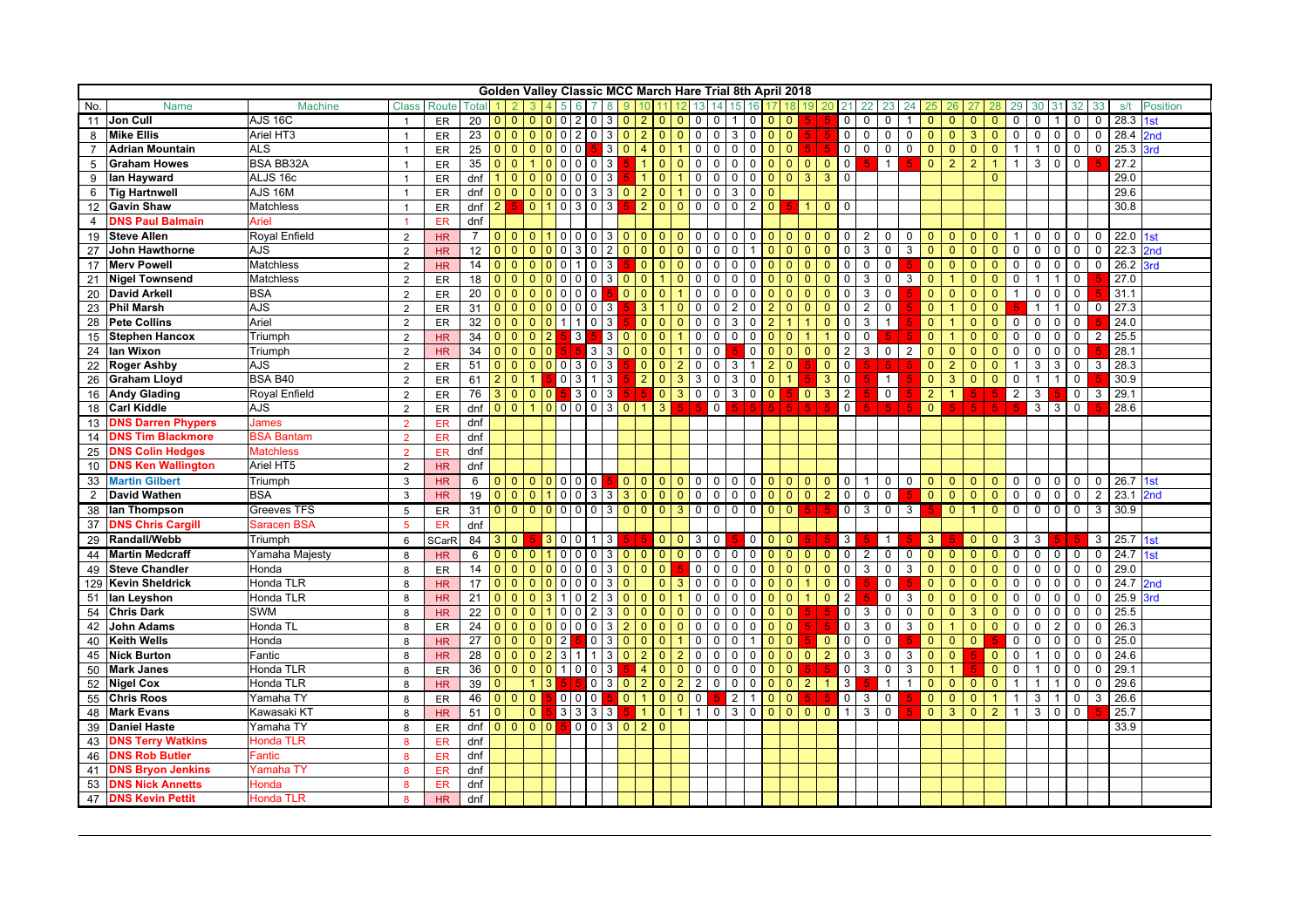|                |                            |                      |                |              |                 |                |                |                              |                                  |                | Golden Valley Classic MCC March Hare Trial 8th April 2018 |                         |                   |                |                                |                               |                                |                |                |                |                |                |                          |                |                         |                |                |                      |                |                |                |                |                |               |                |                       |                 |
|----------------|----------------------------|----------------------|----------------|--------------|-----------------|----------------|----------------|------------------------------|----------------------------------|----------------|-----------------------------------------------------------|-------------------------|-------------------|----------------|--------------------------------|-------------------------------|--------------------------------|----------------|----------------|----------------|----------------|----------------|--------------------------|----------------|-------------------------|----------------|----------------|----------------------|----------------|----------------|----------------|----------------|----------------|---------------|----------------|-----------------------|-----------------|
| No.            | <b>Name</b>                | <b>Machine</b>       | <b>Class</b>   | Route        | Total           |                |                |                              |                                  |                |                                                           |                         |                   |                |                                |                               |                                |                |                |                |                |                |                          |                |                         |                |                |                      |                |                |                |                |                |               |                | s/t                   | <b>Position</b> |
|                | 11 Jon Cull                | <b>AJS 16C</b>       | $\overline{1}$ | ER           | 20              | 0 <sup>1</sup> |                |                              | 0 0 0 2 0                        |                |                                                           | 3 0                     | $\overline{2}$    | 0 <sup>0</sup> |                                | $\mathbf 0$                   | $\mathbf 0$<br>$\mathbf{1}$    |                | 0 <sub>0</sub> | $\mathbf{0}$   |                |                | $\mathbf{0}$             | 0              | 0                       |                | $\mathbf{0}$   |                      | $\overline{0}$ | $\mathbf{0}$   | 0              | 0              |                | 0             | 0              | $\overline{28.3}$ 1st |                 |
| 8              | <b>Mike Ellis</b>          | Ariel HT3            | $\overline{1}$ | ER           | 23              | $\mathbf{0}$   | $\overline{0}$ | $\mathbf{0}$                 | 0020                             |                | 3                                                         | $\overline{\mathsf{0}}$ | 2                 | $\mathbf{0}$   | $\Omega$                       | $\mathsf 0$<br>$\mathbf 0$    | 3                              | $\mathsf 0$    | $\Omega$       | $\overline{0}$ |                |                | $\overline{0}$           | $\mathbf 0$    | 0                       | $\mathbf 0$    | $\overline{0}$ | $\mathbf{0}$         | 3 <sup>2</sup> | $\mathbf{0}$   | $\mathbf 0$    | $\mathbf 0$    | $\mathbf 0$    | $\mathbf 0$   | $\mathbf{0}$   | 28.4 2nd              |                 |
|                | <b>Adrian Mountain</b>     | <b>ALS</b>           | $\overline{1}$ | ER           | 25              | 0 0            |                | $\mathbf{0}$                 | $\overline{0}$<br>$\overline{0}$ | $\overline{0}$ |                                                           | 300                     | $\overline{4}$    | $\mathbf{0}$   |                                | $\mathbf 0$<br>0              | $\mathbf 0$                    | $\mathbf 0$    |                | 0 <sup>0</sup> |                |                | $\overline{0}$           | $\mathbf 0$    | 0                       | $\mathbf 0$    | $\overline{0}$ | $\mathbf{0}$         | $\overline{0}$ | $\mathbf{0}$   |                | $\mathbf{1}$   | $\mathbf 0$    | 0             | 0              | 25.3                  | 3rd             |
| 5              | <b>Graham Howes</b>        | <b>BSA BB32A</b>     | $\overline{1}$ | ER           | 35              | $\Omega$       | $\overline{0}$ |                              | $\mathbf 0$                      | $\mathbf 0$    | 3<br>$\mathbf 0$                                          |                         |                   | $\mathbf{0}$   | $\Omega$                       | 0<br>$\mathbf 0$              | $\mathbf 0$                    | $\mathsf 0$    | $\Omega$       | $\overline{0}$ | $\overline{0}$ | $\mathbf{0}$   | $\overline{0}$           | $\overline{a}$ | $\mathbf{1}$            | 5.             | $\mathbf{0}$   | $\overline{2}$       | $\overline{2}$ |                |                | 3              | $\mathbf 0$    | 0             |                | 27.2                  |                 |
| 9              | lan Hayward                | ALJS 16c             | $\overline{1}$ | ER           | dnf             |                | l 0            | $\mathbf{0}$<br>$\mathbf{0}$ | 0                                | $\mathbf 0$    | 3<br>0                                                    |                         |                   | $\mathbf{0}$   |                                | $\mathbf 0$<br>$\mathbf 0$    | 0                              | $\mathbf 0$    |                | $0\vert 0$     | 3 <sup>°</sup> | $\overline{3}$ | $\Omega$                 |                |                         |                |                |                      |                | $\Omega$       |                |                |                |               |                | 29.0                  |                 |
|                | 6 Tig Hartnwell            | $\overline{AJS}$ 16M |                | ER           | dnf             | $\mathbf{0}$   | $\overline{0}$ | $\mathbf{0}$                 | $\overline{0}$<br>$\overline{0}$ | $\overline{0}$ | 3                                                         | 3 0                     | $\overline{2}$    | $\mathbf{0}$   |                                | $\mathbf 0$<br>$\mathbf 0$    | $\mathbf{3}$                   | $\mathbf 0$    | $\Omega$       |                |                |                |                          |                |                         |                |                |                      |                |                |                |                |                |               |                | 29.6                  |                 |
|                | 12 Gavin Shaw              | Matchless            |                | ER           | dnf             | 2              |                | $\overline{0}$               | $\vert$ 1<br>$\mathbf 0$         | 3              | 3<br>$\mathbf 0$                                          |                         | 2 <sup>2</sup>    | $\mathbf{0}$   | $\overline{0}$                 | $\overline{0}$                | $0$   0                        | $\overline{2}$ | $\overline{0}$ | 5.             | $\vert$ 1      | $\overline{0}$ | $\Omega$                 |                |                         |                |                |                      |                |                |                |                |                |               |                | 30.8                  |                 |
| $\overline{4}$ | <b>DNS Paul Balmain</b>    | Ariel                |                | ER           | dnf             |                |                |                              |                                  |                |                                                           |                         |                   |                |                                |                               |                                |                |                |                |                |                |                          |                |                         |                |                |                      |                |                |                |                |                |               |                |                       |                 |
| 19             | <b>Steve Allen</b>         | <b>Royal Enfield</b> | 2              | HR           | $\overline{7}$  |                |                |                              |                                  | $0\ 0\ 0$      |                                                           | 300                     | $\overline{0}$    |                | $0$ 0                          | $\overline{0}$                | 00000000                       |                |                |                |                |                | $0 \mid 2 \mid$          |                | $\mathbf 0$             | $\mathbf 0$    | $\overline{0}$ | $\mathbf{0}$         | $0$ 0          |                |                |                | 0 <sup>1</sup> | $\mathbf 0$   | $\mathbf 0$    | $22.0$ 1st            |                 |
| 27             | <b>John Hawthorne</b>      | <b>AJS</b>           | $\overline{2}$ | <b>HR</b>    | 12              | 0 <sup>0</sup> |                | $\Omega$                     | $\mathbf{0}$<br>0                | 3              | 2<br>0                                                    | $\overline{0}$          | $\mathbf{0}$      | $\mathbf{0}$   | $\Omega$                       | $\mathbf 0$<br>$\overline{0}$ | $\overline{0}$                 | $\mathbf{1}$   | $\overline{0}$ | $\overline{0}$ | $\mathbf{0}$   | $\overline{0}$ | $\mathbf{0}$             | 3              | $\mathbf 0$             | 3              | $\overline{0}$ | $\mathbf{0}$         | $\overline{0}$ | $\mathbf{0}$   | $\mathbf 0$    | $\mathbf{0}$   | $\mathbf 0$    | $\mathbf 0$   | $\mathbf 0$    | $22.3$ 2nd            |                 |
|                | 17 Merv Powell             | Matchless            | 2              | HR           | 14              | $0\, \,0$      |                | $\Omega$<br>$\Omega$         | $\Omega$                         | $\mathbf{1}$   | 3<br>$\Omega$                                             |                         | $\mathbf{0}$      | $\mathbf{0}$   | $\Omega$                       | $\mathbf 0$<br>$\mathbf 0$    | $\mathbf{0}$                   | $\mathbf 0$    | $\Omega$       | $\overline{0}$ | $\mathbf{0}$   | $\mathbf{0}$   | $\Omega$                 | $\mathbf 0$    | $\mathbf 0$             |                | $\mathbf{0}$   | $\Omega$             | $\overline{0}$ | $\mathbf{0}$   | $\mathbf 0$    | $\mathbf 0$    | $\mathbf 0$    | $\mathbf 0$   | $\Omega$       | 26.2                  | 3rd             |
|                | 21 Nigel Townsend          | Matchless            | $\overline{2}$ | <b>ER</b>    | 18              | 0 <sup>0</sup> |                | $\mathbf{0}$                 | $\mathbf{0}$<br>0                | 0 <sup>1</sup> | 3                                                         | $\mathbf{0}$            | $\mathbf{0}$      |                | $\Omega$                       | $\mathbf 0$<br>$\mathbf 0$    | $\mathbf 0$                    | $\mathbf 0$    |                | 0 <sup>1</sup> | $\mathbf{0}$   | $\mathbf{0}$   | $\overline{0}$           | 3              | $\mathbf 0$             | $\mathbf{3}$   | $\overline{0}$ |                      | $\overline{0}$ | $\mathbf{0}$   | $\mathbf 0$    | $\mathbf{1}$   | $\mathbf{1}$   | 0             |                | 27.0                  |                 |
|                | 20 David Arkell            | <b>BSA</b>           | 2              | <b>ER</b>    | 20              | 0 <sup>0</sup> |                | $\Omega$                     | $\mathbf{0}$<br>$\Omega$         | $\overline{0}$ | 0                                                         | $\overline{0}$          | $\mathbf{0}$      | $\Omega$       |                                | $\mathbf 0$<br>$\mathbf 0$    | $\mathbf 0$                    | $\mathbf 0$    | $\Omega$       | $\overline{0}$ | $\Omega$       | $\mathbf{0}$   | $\Omega$                 | 3              | $\mathbf 0$             |                | $\mathbf{0}$   | $\Omega$             | $\overline{0}$ | $\mathbf{0}$   |                | $\Omega$       | $\Omega$       | $\mathbf 0$   |                | 31.1                  |                 |
|                | 23 Phil Marsh              | AJS                  | 2              | <b>ER</b>    | 31              | 0 <sup>0</sup> |                | $\overline{0}$               | $\overline{0}$                   | 0 0 0          | 3                                                         |                         | $\mathbf{3}$      | $\mathbf{1}$   | $\Omega$                       | $\mathbf 0$<br>$\mathbf 0$    | 2                              | $\mathbf 0$    | 2              | $\mathbf{0}$   | $\mathbf{0}$   | $\mathbf{0}$   | $\Omega$                 | $\overline{2}$ | $\mathbf 0$             |                | $\mathbf{0}$   | $\blacktriangleleft$ | $\overline{0}$ | $\Omega$       |                | $\mathbf{1}$   | $\overline{1}$ | $\mathbf 0$   | $\mathbf{0}$   | 27.3                  |                 |
| 28             | <b>Pete Collins</b>        | Ariel                | $\overline{2}$ | <b>ER</b>    | 32              | $01$ 0         |                | $\Omega$                     | $\Omega$<br>1 <sup>1</sup>       | 1 <sub>0</sub> | $\mathbf{3}$                                              |                         | $\overline{0}$    | $\Omega$       | $\Omega$                       | $\mathbf 0$<br>$\mathbf 0$    | 3                              | $\mathbf 0$    |                | $\mathbf{1}$   |                | $\Omega$       | $\Omega$                 | 3              | $\mathbf{1}$            |                | $\mathbf{0}$   |                      | $\overline{0}$ | $\Omega$       | $\Omega$       | $\Omega$       | $\Omega$       | $\Omega$      |                | 24.0                  |                 |
| 15             | <b>Stephen Hancox</b>      | Triumph              | 2              | HR           | $\overline{34}$ | 0 <sup>1</sup> |                | $\Omega$                     | $\overline{2}$                   | 3              | 3                                                         | $\Omega$                | $\overline{0}$    | $\mathbf{0}$   |                                | $\mathbf 0$<br>$\mathbf 0$    | $\mathbf{0}$                   | $\mathsf 0$    | $\Omega$       | $\mathbf{0}$   |                | $\mathbf{1}$   | $\Omega$                 | $\mathbf 0$    |                         |                | $\overline{0}$ | -1                   | $\overline{0}$ | $\mathbf{0}$   | $\mathbf 0$    | $\mathbf 0$    | $\mathbf 0$    | $\mathbf 0$   | $\overline{2}$ | 25.5                  |                 |
| 24             | lan Wixon                  | Triumph              | 2              | HR           | 34              |                | l 0            | $\Omega$                     | $\overline{0}$                   |                | 3<br>3                                                    | <b>0</b>                | $\Omega$          | $\Omega$       |                                | $\mathbf 0$<br>$\mathbf 0$    |                                | $\mathbf 0$    | $\overline{0}$ | $\overline{0}$ | $\Omega$       | $\mathbf{0}$   | $\overline{2}$           | $\mathbf{3}$   | $\mathbf 0$             | $\overline{2}$ | $\overline{0}$ | $\Omega$             | $\overline{0}$ | $\Omega$       | $\mathbf 0$    | $\Omega$       | $\Omega$       | $\mathbf{0}$  |                | 28.1                  |                 |
|                | 22 Roger Ashby             | <b>AJS</b>           | $\overline{2}$ | ER           | 51              | 0 <sup>1</sup> |                |                              | 0 0 0 3 0                        |                | $\mathbf{3}$                                              |                         | $\overline{0}$    | $\mathbf{0}$   | $\overline{2}$                 | $\overline{0}$                | $\overline{0}$<br>3            | $\mathbf{1}$   | $\overline{2}$ | $\Omega$       |                | $\mathbf{0}$   | $\overline{0}$           | Б.             |                         | Б              | $\overline{0}$ | 2                    | $\overline{0}$ | $\mathbf{0}$   | $\mathbf{1}$   | 3              | 3              | $\mathbf 0$   | 3              | 28.3                  |                 |
| 26             | <b>Graham Lloyd</b>        | <b>BSA B40</b>       | 2              | ER           | 61              | $\overline{2}$ | $\overline{0}$ | $\mathbf{1}$                 |                                  | 0 <sup>3</sup> | $\mathbf{3}$<br>$\mathbf{1}$                              |                         | $2^{\circ}$       | $\mathbf{0}$   | $\mathbf{3}$                   | $\mathbf{3}$                  | $\overline{0}$<br>$\mathbf{3}$ | $\mathbf 0$    | $\Omega$       | $\overline{1}$ |                | $\mathbf{3}$   | $\overline{0}$           |                | $\mathbf{1}$            |                | $\overline{0}$ | 3                    | $\overline{0}$ | $\Omega$       | $\mathbf 0$    | $\mathbf{1}$   | $\overline{1}$ | $\mathsf{O}$  |                | 30.9                  |                 |
|                | 16 Andy Glading            | Royal Enfield        | $\overline{2}$ | ER           | 76              |                | $30000$        |                              |                                  | 530            | $\mathbf{3}$                                              |                         | I 5.              | $\mathbf{0}$   | $3^{\circ}$                    | $\mathbf 0$                   | $\overline{0}$<br>3            | $\mathbf 0$    | $\overline{0}$ | 5.             | $\overline{0}$ | $\mathbf{3}$   | $\overline{2}$           |                | $\mathsf{O}$            |                | $\overline{2}$ | $\mathbf{1}$         | 5.             |                | $\overline{2}$ | 3              |                | 0             | $\mathbf{3}$   | 29.1                  |                 |
| 18             | <b>Carl Kiddle</b>         | AJS                  | $\overline{2}$ | ER           | dnf             |                | $0$ 0          | $\mathbf{1}$                 | 00000                            |                |                                                           | 300                     | $\overline{1}$    | $\mathbf{3}$   |                                | 5.                            | $\overline{0}$                 | 5. .<br>-5.    | 5 <sup>1</sup> | 5.             | -5 I           | $\overline{5}$ | $\overline{0}$           |                | 5 <sub>1</sub>          |                | $\mathbf{0}$   |                      | 5 <sub>1</sub> | 5.             | 5.             |                | $3 \mid 3$     | $\mathsf{O}$  |                | 28.6                  |                 |
| 13             | <b>DNS Darren Phypers</b>  | James                | $\overline{2}$ | ER           | dnf             |                |                |                              |                                  |                |                                                           |                         |                   |                |                                |                               |                                |                |                |                |                |                |                          |                |                         |                |                |                      |                |                |                |                |                |               |                |                       |                 |
| 14             | <b>DNS Tim Blackmore</b>   | <b>BSA Bantam</b>    | $\overline{2}$ | <b>ER</b>    | dnf             |                |                |                              |                                  |                |                                                           |                         |                   |                |                                |                               |                                |                |                |                |                |                |                          |                |                         |                |                |                      |                |                |                |                |                |               |                |                       |                 |
| 25             | <b>DNS Colin Hedges</b>    | <b>Matchless</b>     | $\overline{2}$ | <b>ER</b>    | dnf             |                |                |                              |                                  |                |                                                           |                         |                   |                |                                |                               |                                |                |                |                |                |                |                          |                |                         |                |                |                      |                |                |                |                |                |               |                |                       |                 |
| 10             | <b>DNS Ken Wallington</b>  | Ariel HT5            | $\overline{2}$ | <b>HR</b>    | dnf             |                |                |                              |                                  |                |                                                           |                         |                   |                |                                |                               |                                |                |                |                |                |                |                          |                |                         |                |                |                      |                |                |                |                |                |               |                |                       |                 |
|                | 33 Martin Gilbert          | Triumph              | 3              | HR           | 6               |                | 00000000       |                              |                                  |                |                                                           |                         |                   |                | 00000000000 <mark>00000</mark> |                               |                                |                |                |                |                |                | $\overline{\phantom{0}}$ | 1              | $\mathbf 0$             | $\mathbf 0$    | $\overline{0}$ | $\mathbf{0}$         | $\overline{0}$ | $\overline{0}$ | $\mathbf 0$    |                | 0 <sub>0</sub> | $\mathbf 0$   | $\mathbf{0}$   | 26.7 1st              |                 |
| $\overline{2}$ | <b>David Wathen</b>        | <b>BSA</b>           | 3              | <b>HR</b>    | 19              |                | 0 0 0 1 0 0 3  |                              |                                  |                |                                                           |                         | $3 \mid 3 \mid 0$ |                | 0 <sup>1</sup>                 | $\overline{0}$                | 0000000                        |                |                |                |                | $\overline{2}$ | $\overline{0}$           | 0 <sup>1</sup> | $\mathbf 0$             | 5.             | $\overline{0}$ | $\overline{0}$       | $\overline{0}$ | $\overline{0}$ | $\mathbf 0$    |                | $0 \quad 0$    | $\mathbf 0$   | $\overline{2}$ | $23.1$ 2nd            |                 |
|                | 38 Ian Thompson            | Greeves TFS          | 5              | ER           | 31              |                | 0 0 0 0 0 0 0  |                              |                                  |                |                                                           |                         | 300               |                |                                |                               | $rac{1}{\circ}$                |                |                |                |                |                | 0 <sup>3</sup>           |                | $\overline{\mathbf{0}}$ | $\overline{3}$ | 5.             | $\overline{0}$       | 1 <sup>1</sup> | $\overline{0}$ | $\overline{0}$ | $\overline{0}$ |                | $\frac{1}{2}$ | $\overline{3}$ | 30.9                  |                 |
| 37             | <b>DNS Chris Cargill</b>   | Saracen BSA          | $5^{\circ}$    | ER           | dnf             |                |                |                              |                                  |                |                                                           |                         |                   |                |                                |                               |                                |                |                |                |                |                |                          |                |                         |                |                |                      |                |                |                |                |                |               |                |                       |                 |
|                | 29 Randall/Webb            | Triumph              | 6              | <b>SCarR</b> | 84              | 3 0            |                |                              | 30011                            |                | $\mathbf{3}$                                              |                         |                   |                | $0\vert 0\vert 3\vert$         |                               | $\circ$                        |                | 0 0 0          |                |                |                | 3 <sup>1</sup>           |                | $\overline{1}$          |                | 3 <sup>°</sup> |                      | $\overline{0}$ | $\overline{0}$ | $\mathbf{3}$   | $\mathbf{3}$   |                |               | 3 <sup>1</sup> | 25.7 1st              |                 |
| 44             | <b>Martin Medcraff</b>     | Yamaha Majesty       | 8              | <b>HR</b>    | 6               | 0 <sup>1</sup> |                |                              | $011000$                         |                |                                                           | 3 0                     | $\overline{0}$    | 0 <sup>1</sup> |                                | $\circ$                       | 0 <sub>0</sub>                 | $\mathbf 0$    |                | $0$ 0          | $\overline{0}$ | $\mathbf{0}$   | $\overline{0}$           | $\overline{2}$ | $\mathbf 0$             | $\mathbf 0$    | $\overline{0}$ | $\Omega$             | $\overline{0}$ | $\mathbf{0}$   | $\mathbf 0$    | $\mathbf{0}$   | $\overline{0}$ | $\mathbf 0$   | $\mathbf 0$    | 24.7                  | 1st             |
| 49             | <b>Steve Chandler</b>      | Honda                | 8              | <b>ER</b>    | 14              | 0 <sup>0</sup> |                |                              | $0 0 0 0 0 0$                    |                |                                                           | 3 0                     | $\Omega$          | $\overline{0}$ |                                | $\mathbf 0$                   | $\circ$<br>$\mathbf 0$         | $\mathbf 0$    | $\Omega$       | $\overline{0}$ | $\overline{0}$ | $\overline{0}$ | $\overline{0}$           | 3              | 0                       | 3              | $\mathbf{0}$   | $\Omega$             | $\overline{0}$ | $\mathbf{0}$   | $\mathbf 0$    | $\mathbf 0$    | $\mathbf 0$    | $\mathbf 0$   | $\mathbf 0$    | 29.0                  |                 |
|                | 129 Kevin Sheldrick        | Honda TLR            | 8              | <b>HR</b>    | 17              | $0\, \,0$      |                | $\Omega$                     | $\Omega$<br>$\Omega$             | l o            | $\Omega$<br>3                                             | $\overline{0}$          |                   | $\mathbf{0}$   | <b>3</b>                       | $\mathbf 0$<br>$\mathbf 0$    | $\mathbf 0$                    | $\mathbf 0$    | $\Omega$       | $\mathbf{0}$   |                | $\mathbf{0}$   | $\overline{0}$           |                | 0                       |                | $\Omega$       | $\Omega$             | $\overline{0}$ | $\Omega$       | $\Omega$       | $\Omega$       | $\Omega$       | $\Omega$      | $\Omega$       | 24.7                  | 2nd             |
|                | 51 Ian Leyshon             | Honda TLR            | 8              | HR           | 21              | $0\, \,0$      |                |                              | 3                                | 0              | 3                                                         | $\overline{0}$          |                   | $\mathbf{0}$   |                                | $\mathbf 0$<br>$\mathbf 0$    | $\mathbf 0$                    | $\mathbf 0$    | $\Omega$       | $\mathbf{0}$   |                | $\mathbf{0}$   | $\overline{2}$           |                | 0                       | 3              | $\mathbf{0}$   |                      | $\overline{0}$ | $\Omega$       | 0              | 0              | 0              | 0             | 0              | 25.9                  | <b>Brd</b>      |
|                | 54 Chris Dark              | SWM                  | 8              | HR           | 22              | $\Omega$       | l 0            | $\Omega$                     | $\Omega$                         | $\overline{0}$ | 2<br>3                                                    | $\Omega$                | $\Omega$          | $\Omega$       | $\Omega$                       | 0<br>$\mathbf 0$              | $\Omega$                       | $\mathbf 0$    | $\Omega$       | $\mathbf{0}$   |                |                | $\overline{0}$           | 3              | 0                       | $\Omega$       | $\overline{0}$ | $\Omega$             | 3 <sup>°</sup> | $\Omega$       | $\Omega$       | $\Omega$       | $\Omega$       | $\Omega$      | $\Omega$       | 25.5                  |                 |
| 42             | <b>John Adams</b>          | Honda TL             | 8              | ER           | 24              | 0 <sup>1</sup> |                | $\Omega$                     | $\overline{0}$<br>0              | $\overline{0}$ | $\mathbf 0$<br>3                                          | $\sqrt{2}$              | $\Omega$          | $\mathbf{0}$   | $\Omega$                       | $\mathbf 0$<br>$\mathbf 0$    | $\Omega$                       | $\mathbf 0$    | $\Omega$       | $\Omega$       |                |                | $\Omega$                 | 3              | 0                       | 3              | $\mathbf{0}$   |                      | $\overline{0}$ | $\Omega$       | $\Omega$       | $\Omega$       | $\overline{2}$ | $\Omega$      | $\mathbf 0$    | 26.3                  |                 |
| 40             | <b>Keith Wells</b>         | Honda                | 8              | <b>HR</b>    | 27              | 0 <sup>0</sup> |                | $\Omega$                     | $\Omega$<br>2                    |                | $\mathbf 0$<br>3                                          | $\Omega$                | $\Omega$          | $\Omega$       |                                | $\Omega$<br>$\mathbf 0$       | $\Omega$                       |                | $\Omega$       | $\mathbf{0}$   |                | $\mathbf 0$    | $\Omega$                 | $\Omega$       | 0                       |                | $\Omega$       | $\Omega$             | $\Omega$       |                | $\Omega$       | $\Omega$       | $\Omega$       | $\Omega$      | $\mathbf{0}$   | 25.0                  |                 |
|                | 45 Nick Burton             | Fantic               | 8              | <b>HR</b>    | 28              | 0 <sup>1</sup> |                | $\mathbf{0}$                 | $\overline{2}$<br>3              |                | 3                                                         | 0                       |                   | $\mathbf{0}$   |                                | 0<br>$\mathbf 0$              | $\mathbf 0$                    | 0              | $\mathbf{0}$   | $\mathbf{0}$   | $\mathbf{0}$   | $\overline{2}$ | $\Omega$                 | 3              | $\Omega$                | 3              | $\mathbf{0}$   | $\mathbf{0}$         |                | $\mathbf{0}$   |                |                | $\mathbf 0$    | 0             | 0              | 24.6                  |                 |
|                | 50 Mark Janes              | Honda TLR            | 8              | ER           | 36              | $0$ 0          |                | $\mathbf{0}$                 | $\overline{0}$                   | 100            | 3                                                         |                         | $\overline{4}$    | $\mathbf{0}$   | $\overline{0}$                 | $\mathsf{O}$<br>$\mathbf 0$   | $\mathbf 0$                    | $\mathbf 0$    | $\mathbf{0}$   | $\mathbf{0}$   |                |                | $\mathbf{0}$             | 3              | 0                       | 3              | $\mathbf{0}$   |                      |                | $\mathbf{0}$   | $\mathbf 0$    | $\mathbf{1}$   | $\mathbf 0$    | $\mathbf 0$   | $\mathbf 0$    | 29.1                  |                 |
|                | 52 Nigel Cox               | Honda TLR            | 8              | <b>HR</b>    | 39              |                |                |                              | $\mathbf{3}$                     |                | $\mathsf{O}$                                              | 3 0                     | 2                 | $\mathbf{0}$   | $\overline{2}$                 | $\overline{2}$                | $\overline{0}$<br>$\mathbf{0}$ | $\mathbf 0$    |                | 0 <sup>0</sup> | $\overline{2}$ | $\mathbf{1}$   | 3                        |                | $\mathbf{1}$            | $\mathbf{1}$   | $\overline{0}$ | $\mathbf{0}$         | $\overline{0}$ | $\mathbf{0}$   |                |                |                | 0             | $\mathbf 0$    | 29.6                  |                 |
|                | 55 Chris Roos              | Yamaha TY            | 8              | ER           | 46              | 0 <sup>0</sup> |                | $\overline{0}$               |                                  | 0 <sub>0</sub> | $\mathbf 0$                                               | $\overline{0}$          |                   | $\mathbf{0}$   | $\overline{0}$                 | $\mathbf 0$                   | $\overline{2}$                 | $\mathbf{1}$   | $\overline{0}$ | $\overline{0}$ |                | Б              | $\mathbf{0}$             | 3              | $\mathbf 0$             |                | $\overline{0}$ | $\mathbf{0}$         | $\overline{0}$ | $\overline{1}$ |                | 3              | $\mathbf{1}$   | 0             | 3              | 26.6                  |                 |
| 48             | <b>Mark Evans</b>          | Kawasaki KT          | 8              | <b>HR</b>    | 51              | $\mathbf{0}$   |                | $\overline{0}$               |                                  | $333$          | $\mathbf{3}$                                              |                         |                   | $\mathbf{0}$   |                                |                               | 10300000                       |                |                |                |                |                |                          | 3              | 0                       |                | $\mathbf{0}$   | 3                    | $\overline{0}$ | $\overline{2}$ |                | 3              | $\mathbf 0$    | $\mathbf 0$   |                | 25.7                  |                 |
| 39             | <b>Daniel Haste</b>        | Yamaha TY            | 8              | ER           | dnf             |                | 0000           |                              |                                  | 500            |                                                           | 300                     | $\overline{2}$    | $\mathbf{0}$   |                                |                               |                                |                |                |                |                |                |                          |                |                         |                |                |                      |                |                |                |                |                |               |                | 33.9                  |                 |
| 43             | <b>DNS Terry Watkins</b>   | Honda TLR            | 8              | ER           | dnf             |                |                |                              |                                  |                |                                                           |                         |                   |                |                                |                               |                                |                |                |                |                |                |                          |                |                         |                |                |                      |                |                |                |                |                |               |                |                       |                 |
| 46             | <b>DNS Rob Butler</b>      | <b>Fantic</b>        | 8              | ER           | dnf             |                |                |                              |                                  |                |                                                           |                         |                   |                |                                |                               |                                |                |                |                |                |                |                          |                |                         |                |                |                      |                |                |                |                |                |               |                |                       |                 |
| 41             | <b>DNS Bryon Jenkins</b>   | Yamaha TY            | 8              | ER           | dnf             |                |                |                              |                                  |                |                                                           |                         |                   |                |                                |                               |                                |                |                |                |                |                |                          |                |                         |                |                |                      |                |                |                |                |                |               |                |                       |                 |
| 53             | <b>DNS Nick Annetts</b>    | Honda                | 8              | ER           | dnf             |                |                |                              |                                  |                |                                                           |                         |                   |                |                                |                               |                                |                |                |                |                |                |                          |                |                         |                |                |                      |                |                |                |                |                |               |                |                       |                 |
|                | 47 <b>DNS Kevin Pettit</b> | <b>Honda TLR</b>     | 8              | <b>HR</b>    | dnf             |                |                |                              |                                  |                |                                                           |                         |                   |                |                                |                               |                                |                |                |                |                |                |                          |                |                         |                |                |                      |                |                |                |                |                |               |                |                       |                 |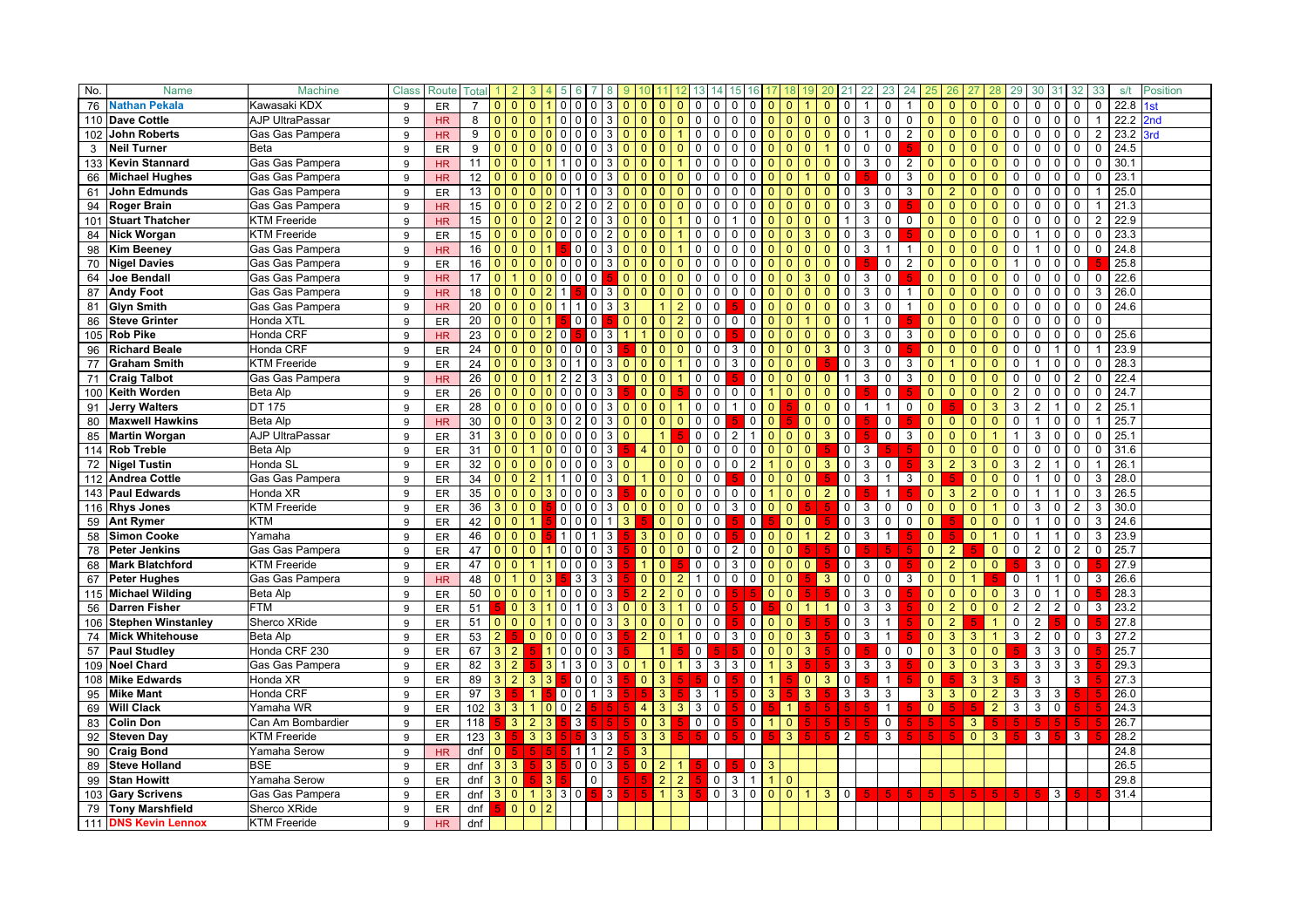| No. | <b>Name</b>                                | <b>Machine</b>                           | <b>Class</b> | Route          | Total          |                       |                                        |                 |                                                 |                                               |              |                                  |                                  |                                  |                                |                                          |                              |                                |                              |                      | 22             | 23               |                |                            |                |                                  |                                  |              |                |                | 32             | 33             | s/t          | <b>Position</b> |
|-----|--------------------------------------------|------------------------------------------|--------------|----------------|----------------|-----------------------|----------------------------------------|-----------------|-------------------------------------------------|-----------------------------------------------|--------------|----------------------------------|----------------------------------|----------------------------------|--------------------------------|------------------------------------------|------------------------------|--------------------------------|------------------------------|----------------------|----------------|------------------|----------------|----------------------------|----------------|----------------------------------|----------------------------------|--------------|----------------|----------------|----------------|----------------|--------------|-----------------|
|     | 76 Nathan Pekala                           | Kawasaki KDX                             | 9            | ER             | $\overline{7}$ | $01$ 0                | $\mathbf{0}$                           |                 | 0<br>0                                          | 0                                             |              |                                  | $\Omega$                         | 0                                | 0                              | 0<br>0                                   |                              | 0                              | 0                            |                      |                | 0                |                | $\Omega$                   | 0              | $\mathbf{0}$                     | $\mathbf{0}$                     | 0            | 0              | 0              | 0              | $\mathbf 0$    | 22.8         |                 |
|     | 110 Dave Cottle                            | AJP UltraPassar                          | 9            | HR             | 8              | $\Omega$              | $\overline{0}$<br>$\Omega$             |                 | $\overline{0}$<br>$\Omega$                      | $\mathbf 0$                                   |              |                                  | $\Omega$                         | 0                                | $\mathbf 0$                    | $\mathbf 0$                              |                              | $\overline{0}$                 | $\Omega$<br>$\Omega$         | 0                    | 3              | 0                | 0              |                            |                | $\mathbf{0}$                     | $\Omega$                         | $\mathbf 0$  | 0              | $\Omega$       | 0              |                | 22.2         | 2nd             |
|     | 102 John Roberts                           | Gas Gas Pampera                          | 9            | <b>HR</b>      | 9              | 0 <sup>1</sup>        | $\overline{0}$                         | 0 <sup>10</sup> | $\overline{0}$                                  | $\mathbf 0$<br>3                              | $\Omega$     | $\Omega$                         | $\Omega$                         | $\mathbf 0$                      | $\mathbf 0$                    | $\Omega$<br>$\mathbf 0$                  | $\mathbf{0}$                 | $\mathbf{0}$                   | $\mathbf{0}$<br>$\mathbf{0}$ | 0                    |                | $\mathbf 0$      | $\overline{2}$ | $\Omega$                   | $\Omega$       | $\mathbf{0}$                     | $\mathbf{0}$                     | $\mathbf 0$  | $\mathbf 0$    | $\mathbf 0$    | $\mathbf 0$    | $\overline{2}$ | 23.2         | <b>Srd</b>      |
| 3   | <b>Neil Turner</b>                         | Beta                                     | 9            | ER             | 9              | $\mathbf{0}$          | $\Omega$<br>l O                        |                 | $\overline{0}$<br>$\Omega$                      | $\mathbf 0$<br>3                              | $\Omega$     | $\Omega$                         | $\Omega$                         | 0<br>$\Omega$                    | $\Omega$                       | $\Omega$<br>$\Omega$                     | $\Omega$                     | $\Omega$                       | $\Omega$                     | $\Omega$             | $\Omega$       | $\mathbf 0$      |                | $\Omega$                   | $\Omega$       | $\Omega$                         | $\Omega$                         | $\Omega$     | $\Omega$       | $\Omega$       | $\Omega$       | 0              | 24.5         |                 |
|     | 133 Kevin Stannard                         | Gas Gas Pampera                          | 9            | HR             | 11             | $\mathbf{0}$          | $\overline{0}$<br>$\overline{0}$       |                 |                                                 |                                               |              | $\Omega$                         | $\Omega$                         | 0                                | $\Omega$                       | $\Omega$<br><sup>0</sup>                 |                              | $\Omega$                       | $\Omega$                     | 0                    | 3              | 0                | $\overline{2}$ | $\Omega$                   |                | $\mathbf{0}$                     | $\Omega$                         | $\Omega$     | $\Omega$       |                |                | 0              | 30.1         |                 |
|     | 66 Michael Hughes                          | Gas Gas Pampera                          | 9            | HR             | 12             | $\Omega$              | $\overline{0}$<br>$\overline{0}$       |                 | 0<br>0                                          | 0                                             |              | $\mathbf{0}$                     | $\Omega$                         | 0                                | $\Omega$                       | $\Omega$<br>0                            |                              | $\Omega$                       | $\Omega$                     | 0                    |                | 0                | 3              | $\Omega$                   | $\Omega$       | $\mathbf{0}$                     | $\mathbf{0}$                     | $\mathbf 0$  | 0              | $\Omega$       | $\mathbf 0$    | $\mathbf 0$    | 23.1         |                 |
| 61  | John Edmunds                               | Gas Gas Pampera                          | 9            | ER             | 13             | $\Omega$              | $\Omega$<br>l o                        |                 | $\Omega$                                        | $\Omega$                                      | $\Omega$     | $\Omega$                         | $\Omega$                         | 0                                | $\Omega$                       | $\Omega$<br>$\Omega$                     |                              | $\Omega$                       | $\Omega$                     | $\Omega$             | 3              | $\mathbf 0$      | 3              | $\Omega$                   |                | $\Omega$                         | $\Omega$                         | $\Omega$     | $\Omega$       |                | $\Omega$       |                | 25.0         |                 |
|     | 94 Roger Brain                             | Gas Gas Pampera                          | 9            | <b>HR</b>      | 15             | 0 <sup>1</sup>        | $\overline{0}$                         |                 | $\Omega$<br>2                                   | $\Omega$                                      | $\Omega$     | $\Omega$                         | $\Omega$                         | 0<br>$\Omega$                    | $\mathbf 0$                    | $\mathbf 0$<br>$\Omega$                  | $\Omega$                     | $\overline{0}$                 | $\Omega$<br>$\mathbf{0}$     | 0                    | 3              | $\mathbf 0$      |                | $\Omega$                   | $\Omega$       | $\Omega$                         | $\mathbf{0}$                     | $\mathbf 0$  | $\Omega$       | $\Omega$       | $\mathbf 0$    |                | 21.3         |                 |
|     | 101 Stuart Thatcher                        | <b>KTM Freeride</b>                      | 9            | <b>HR</b>      | 15             |                       | $\overline{0}$<br>$\overline{0}$       |                 | $\Omega$                                        | $\mathbf 0$                                   |              | $\Omega$                         | $\Omega$                         | 0                                | $\Omega$                       | $\mathbf 0$                              |                              | 0                              | $\Omega$<br>0                |                      | 3              | 0                | $\mathbf 0$    | $\Omega$                   | $\Omega$       | $\mathbf{0}$                     | $\Omega$                         | $\mathbf 0$  |                | $\Omega$       | $\Omega$       | $\overline{2}$ | 22.9         |                 |
| 84  | <b>Nick Worgan</b>                         | <b>KTM Freeride</b>                      | 9            | ER             | 15             | 0 <sup>0</sup>        | $\overline{0}$                         | $\Omega$        | $\overline{0}$<br>0                             | $\mathbf 0$                                   |              | $\Omega$                         | $\Omega$                         | 0                                | 0                              | $\mathbf 0$<br>$\Omega$                  |                              | $\Omega$                       | 3<br>0                       | 0                    | 3              | 0                |                | $\mathbf{0}$               | $\Omega$       | $\mathbf{0}$                     | $\Omega$                         | $\mathbf 0$  |                | $\Omega$       | 0              | 0              | 23.3         |                 |
| 98  | <b>Kim Beeney</b>                          | Gas Gas Pampera                          | 9            | <b>HR</b>      | 16             | $\Omega$              | $\overline{0}$<br>l 0                  |                 | 0                                               | $\mathbf 0$<br>3                              | $\Omega$     | $\Omega$                         | $\mathbf{0}$                     | $\Omega$                         | $\Omega$                       | $\mathbf 0$<br>$\Omega$                  |                              | $\Omega$                       | $\Omega$<br>$\Omega$         | $\Omega$             | 3              |                  |                | $\Omega$                   | $\Omega$       | $\Omega$                         | $\Omega$                         | $\Omega$     |                | $\Omega$       | $\Omega$       | 0              | 24.8         |                 |
|     | 70 Nigel Davies                            | Gas Gas Pampera                          | 9            | ER             | 16             | $01$ 0                | $\overline{0}$                         | 0 <sup>0</sup>  | $\mathbf 0$                                     | $\mathbf 0$<br>3                              | $\Omega$     | $\mathbf{0}$                     | $\mathbf{0}$                     | 0                                | $\mathbf 0$                    | $\mathbf 0$<br>$\Omega$                  |                              | $\Omega$                       | $\Omega$<br>$\Omega$         |                      |                | 0                | 2              | $\Omega$                   |                | $\mathbf{0}$                     | $\Omega$                         |              | $\Omega$       | $\Omega$       | $\Omega$       |                | 25.8         |                 |
| 64  | <b>Joe Bendall</b>                         | Gas Gas Pampera                          | 9            | HR             | 17             | $\Omega$              | $\mathbf{0}$                           | $\Omega$        | $\overline{0}$<br>$\mathbf 0$                   | $\mathbf 0$                                   | $\Omega$     |                                  | $\Omega$                         | $\Omega$<br>0                    | $\Omega$                       | $\mathbf 0$                              |                              | $\overline{0}$                 | 3<br>$\overline{0}$          | $\Omega$             | 3              | $\mathbf 0$      |                | $\Omega$                   | $\Omega$       | $\Omega$                         | $\Omega$                         | $\mathbf 0$  | $\Omega$       | $\Omega$       | 0              | $\mathbf 0$    | 22.6         |                 |
|     | 87 Andy Foot                               | Gas Gas Pampera                          | 9            | <b>HR</b>      | 18             | 0 <sup>1</sup>        | $\mathbf{0}$                           | $\overline{2}$  | $\mathbf{1}$                                    | 0<br>3                                        | $\mathbf{0}$ | $\mathbf{0}$                     | $\mathbf{0}$                     | 0                                | 0                              | $\Omega$<br>$\mathbf 0$                  |                              | 0                              | O                            |                      | 3              | 0                | $\mathbf{1}$   | $\Omega$                   |                | $\mathbf{0}$                     | $\mathbf{0}$                     | $\mathbf 0$  | $\Omega$       | $\Omega$       | $\mathbf 0$    | 3              | 26.0         |                 |
| 81  | <b>Glyn Smith</b>                          | Gas Gas Pampera                          | 9            | H <sub>R</sub> | 20             | 0 <sup>1</sup>        | $\mathbf{0}$                           | $\Omega$        | $\mathbf{1}$<br>$\mathbf{1}$                    | $\Omega$                                      |              |                                  |                                  | 0                                | $\mathbf 0$                    | 0                                        |                              | 0                              | $\Omega$<br>$\Omega$         | $\Omega$             | 3              | $\mathbf 0$      |                | $\Omega$                   | $\Omega$       | $\Omega$                         | $\mathbf{0}$                     | $\mathbf 0$  | $\Omega$       | $\Omega$       | $\mathbf 0$    | $\mathbf{0}$   | 24.6         |                 |
| 86  | <b>Steve Grinter</b>                       | Honda XTL                                | 9            | ER             | 20             | 0 <sup>1</sup>        | $\Omega$                               |                 | $\Omega$                                        | $\mathbf 0$                                   | $\Omega$     | $\Omega$                         | $\Omega$                         | $\overline{2}$<br>$\mathbf 0$    | $\mathbf 0$                    | $\mathbf 0$<br>$\Omega$                  |                              | $\overline{0}$                 | $\Omega$                     | $\Omega$             | -1             | 0                |                | $\Omega$                   | $\Omega$       | $\mathbf{0}$                     | $\Omega$                         | $\mathbf 0$  | $\Omega$       | $\Omega$       | $\mathbf 0$    | $\mathbf 0$    |              |                 |
|     | 105 Rob Pike                               | Honda CRF                                | 9            | <b>HR</b>      | 23             | 0 <sup>0</sup>        | $\overline{0}$                         |                 | 0                                               | $\mathbf 0$                                   |              |                                  | $\Omega$                         | $\Omega$<br>0                    | $\mathbf 0$                    | 0                                        |                              | 0                              | $\mathbf{0}$<br>$\Omega$     | 0                    | 3              | 0                | 3              | $\mathbf{0}$               | $\Omega$       | $\mathbf{0}$                     | $\Omega$                         | $\mathbf 0$  | 0              | 0              | 0              | $\mathbf 0$    | 25.6         |                 |
| 96  | <b>Richard Beale</b>                       | Honda CRF                                | 9            | ER             | 24             | $\Omega$              | $\overline{0}$<br>l 0                  | $\mathbf{0}$    | $\overline{0}$<br>$\mathbf{0}$                  | $\mathsf 0$<br>3                              |              | $\mathbf{0}$                     | $\mathbf{0}$                     | $\mathsf{O}$<br>$\Omega$         | $\mathbf 0$                    | $\mathsf 0$<br>3                         | $\Omega$                     | $\mathbf{0}$                   | $\mathbf{0}$<br>3            | $\mathbf 0$          | 3              | 0                |                | $\mathbf{0}$               | $\Omega$       |                                  | $\Omega$                         | $\mathbf 0$  | $\Omega$       |                | $\mathbf 0$    |                | 23.9         |                 |
|     | 77 Graham Smith                            | <b>KTM Freeride</b>                      | 9            | ER             | 24             | 0 <sup>1</sup>        | $\overline{0}$                         |                 | $\Omega$                                        | $\Omega$                                      |              | $\Omega$                         | $\Omega$                         | 0                                | $\mathbf 0$                    | $\mathbf 0$<br>3                         |                              | $\Omega$                       | $\Omega$                     | $\Omega$             | 3              | 0                | 3              | $\Omega$                   |                | $\Omega$                         | $\Omega$                         | $\Omega$     |                | $\Omega$       | $\Omega$       | 0              | 28.3         |                 |
|     | 71 Craig Talbot                            | Gas Gas Pampera                          | 9            | HR.            | 26             | 0 <sup>1</sup>        | $\overline{0}$                         |                 |                                                 | 3                                             |              | $\Omega$                         | $\Omega$                         | 0                                | $\mathbf 0$                    | $\mathbf 0$                              |                              | $\Omega$                       | $\Omega$<br>$\Omega$         | $\mathbf{1}$         | 3              | $\mathbf 0$      | 3              | $\Omega$                   | $\Omega$       | $\Omega$                         | $\mathbf{0}$                     | $\mathbf 0$  | $\Omega$       | $\Omega$       | $\overline{2}$ | $\Omega$       | 22.4         |                 |
|     | 100 Keith Worden                           | <b>Beta Alp</b>                          | 9            | ER             | 26             | 0 <sup>1</sup>        | $\overline{0}$                         | $\Omega$        | $\overline{0}$<br>$\Omega$                      | $\mathbf 0$                                   |              | $\Omega$                         | $\mathbf{0}$                     | $\mathsf{O}$                     | $\mathbf 0$                    | $\Omega$<br>$\mathbf 0$                  |                              | $\Omega$                       | $\mathbf{0}$<br>$\Omega$     | $\mathbf 0$          |                | 0                |                | $\Omega$                   | $\Omega$       | $\mathbf{0}$                     | $\mathbf{0}$                     | 2            | 0              | $\Omega$       | $\mathbf 0$    | $\mathbf 0$    | 24.7         |                 |
| 91  | <b>Jerry Walters</b>                       | DT 175                                   | 9            | ER             | 28             | 0 <sup>1</sup>        | $\overline{0}$                         | $\Omega$        | $\mathbf 0$<br>0                                | $\mathbf 0$<br>3                              | $\Omega$     | $\mathbf{0}$                     | $\mathbf{0}$                     | $\mathsf{O}$                     | $\mathbf 0$                    | $\mathbf 0$                              | $\mathbf{0}$                 |                                | $\mathbf{0}$<br>0            | 0                    | -1             | $\mathbf{1}$     | $\mathbf 0$    | $\Omega$                   |                | $\mathbf{0}$                     | 3                                | 3            | $\overline{2}$ | $\overline{1}$ | $\mathbf 0$    | $\overline{2}$ | 25.1         |                 |
| 80  | <b>Maxwell Hawkins</b>                     | Beta Alp                                 | 9            | HR             | 30             | 0 <sup>1</sup>        | $\Omega$                               | 3               | $\overline{0}$<br>2                             | $\Omega$<br>3                                 | $\Omega$     | $\Omega$                         | $\mathbf{0}$                     | $\mathbf 0$<br>$\Omega$          | $\mathbf 0$                    | $\mathbf 0$                              | $\Omega$                     |                                | $\mathbf{0}$<br>$\Omega$     | $\Omega$             |                | 0                |                | $\Omega$                   | $\Omega$       | $\mathbf{0}$                     | $\Omega$                         | $\mathbf{0}$ |                | $\Omega$       | $\Omega$       |                | 25.7         |                 |
|     | 85 Martin Worgan                           | AJP UltraPassar                          | 9            | ER             | 31             | 3 0                   | $\overline{0}$                         | $\Omega$        | $\overline{0}$<br>$\Omega$                      | $\mathbf 0$                                   |              |                                  |                                  | $\mathbf 0$                      | $\mathbf 0$                    |                                          | $\Omega$                     | $\Omega$                       | $\mathbf{0}$<br>3            | $\mathbf{0}$         |                | 0                | 3              | $\Omega$                   | $\Omega$       | $\mathbf{0}$                     |                                  |              | 3              | $\Omega$       | 0              | 0              | 25.1         |                 |
|     | 114 Rob Treble                             | Beta Alp                                 | 9            | ER             | 31             | 0 <sup>1</sup>        | 1                                      |                 | $\overline{0}$<br>$\Omega$                      | $\mathbf 0$<br>3                              |              | $\overline{4}$                   | $\mathbf{0}$                     | 0<br>$\mathbf{0}$                | $\mathbf 0$                    | $\mathbf 0$<br>$\Omega$                  | $\Omega$                     | $\overline{0}$                 | $\mathbf{0}$                 | $\overline{0}$       | 3              |                  |                | $\mathbf{0}$               | $\Omega$       | $\Omega$                         | $\Omega$                         | $\mathbf 0$  | $\Omega$       | $\Omega$       | $\Omega$       | $\mathbf 0$    | 31.6         |                 |
|     | 72 Nigel Tustin                            | Honda SL                                 | 9            | <b>ER</b>      | 32             | 0 <sup>1</sup>        | $\mathbf{0}$                           |                 | $\overline{0}$<br>0                             | 0<br>3                                        |              |                                  | $\mathbf{0}$                     | 0<br>$\Omega$                    | 0                              | $\overline{2}$<br>$\Omega$               |                              | $\Omega$                       | $\mathbf{0}$<br>3            | 0                    | 3              | 0                |                | 3                          | $\overline{2}$ | 3                                | $\Omega$                         | 3            | $\overline{2}$ |                | 0              |                | 26.7         |                 |
|     | 112 Andrea Cottle                          | Gas Gas Pampera                          | 9            | ER             | 34             | $\Omega$              | $\overline{2}$<br>$\Omega$             |                 | $\Omega$                                        | $\Omega$<br>3                                 |              |                                  | $\Omega$                         | 0                                | $\Omega$                       | $\mathbf 0$                              |                              | $\Omega$                       |                              | $\Omega$             | 3              | 1                | 3              | $\Omega$                   |                | $\Omega$                         | $\Omega$                         | $\Omega$     |                |                | $\Omega$       | 3              | 28.0         |                 |
|     | 143 Paul Edwards                           | Honda XR                                 | 9            | ER             | 35             | 0 <sup>1</sup>        | $\mathbf{0}$                           | 3               | 0<br>0                                          | $\mathbf 0$<br>3                              |              | $\mathbf{0}$                     | $\mathbf{0}$                     | 0                                | $\mathbf 0$                    | $\mathbf 0$<br>$\mathbf 0$               |                              | $\mathbf{0}$                   | $\Omega$<br>$\overline{2}$   | 0                    |                | 1                |                | $\mathbf{0}$               | 3              | $\overline{2}$                   | $\Omega$                         | $\mathbf 0$  |                |                | $\mathbf 0$    | 3              | 26.5         |                 |
|     | 116 Rhys Jones                             | <b>KTM Freeride</b>                      | 9            | ER             | 36             | 3                     | $\overline{0}$<br>l 0                  |                 | $\mathbf 0$<br>0                                | $\mathbf 0$<br>3                              | $\mathbf{0}$ | $\overline{0}$                   | $\mathbf{0}$                     | 0<br>$\Omega$                    | $\mathbf 0$                    | $\mathbf 0$<br>3                         |                              | $\Omega$                       |                              | 0                    | 3              | $\mathbf 0$      | 0              | $\mathbf{0}$               | $\Omega$       | $\mathbf{0}$                     |                                  | $\mathbf 0$  | 3              | 0              | 2              | 3              | 30.0         |                 |
|     | 59 Ant Rymer                               | <b>KTM</b>                               | 9            | ER             | 42             | 0 <sup>1</sup>        | 1                                      |                 | $\circ$<br>$\Omega$                             | $\Omega$                                      | 3            |                                  | $\mathbf{0}$                     | 0<br>$\Omega$                    | 0                              | $\mathbf 0$                              |                              | $\overline{0}$                 | $\overline{0}$               | 0                    | 3              | 0                | 0              | $\Omega$                   |                | $\mathbf{0}$                     | $\mathbf{0}$                     | $\mathbf 0$  |                | $\Omega$       | 0              | 3              | 24.6         |                 |
| 58  | <b>Simon Cooke</b>                         | Yamaha                                   | 9            | ER             | 46             | 0 <sup>1</sup>        | $\overline{0}$                         |                 | 1 <sup>1</sup><br>$\Omega$                      |                                               |              | 3                                | $\mathbf{0}$                     | $\Omega$<br>0                    | $\mathbf 0$                    | $\mathsf 0$                              | $\Omega$                     | $\mathbf{0}$                   | $\overline{2}$               | $\mathbf 0$          | 3              | 1                |                | $\Omega$                   |                | $\mathbf{0}$                     |                                  | $\mathbf 0$  |                |                | $\Omega$       | 3              | 23.9         |                 |
| 78  | <b>Peter Jenkins</b>                       | Gas Gas Pampera                          | 9            | ER             | 47             | 0 <sup>1</sup>        | $\overline{0}$                         |                 | 0 <sup>10</sup>                                 | $\overline{0}$<br>3                           |              | $\Omega$                         | $\mathbf{0}$                     | 0<br>$\Omega$                    | $\mathbf 0$                    | $\mathbf 0$<br>2                         | $\Omega$                     | $\mathbf{0}$                   |                              | $\mathbf 0$          |                |                  |                | $\mathbf{0}$               | 2 <sup>2</sup> |                                  | $\mathbf{0}$                     | $\mathbf 0$  | $\overline{2}$ | $\Omega$       | 2              | $\mathbf 0$    | 25.7         |                 |
| 68  | <b>Mark Blatchford</b>                     | <b>KTM Freeride</b>                      | 9            | ER             | 47             | 0 <sup>1</sup>        | 1                                      |                 | $\mathbf 0$<br>0                                | 3<br>$\mathbf 0$                              |              |                                  | $\Omega$                         | 0                                | $\mathbf 0$                    | $\mathbf 0$<br>3                         | $\mathbf{0}$                 | $\mathbf{0}$                   | $\mathbf{0}$                 | $\mathbf 0$          | 3              | 0                |                | $\mathbf{0}$               | $\overline{2}$ | $\mathbf{0}$                     | $\Omega$                         |              | 3              | 0              | $\Omega$       |                | 27.9         |                 |
|     | 67 Peter Hughes                            | Gas Gas Pampera                          | 9            | HR             | 48             | 0 <sup>1</sup>        | $\mathbf{0}$                           |                 | 3                                               | 3<br>3                                        |              | $\mathbf{0}$                     | $\mathbf{0}$                     | $\mathbf{2}$<br>$\mathbf{1}$     | $\mathbf 0$                    | $\mathbf 0$<br>$\mathbf{0}$              | $\mathbf{0}$                 | $\mathbf{0}$                   | 3                            | 0                    | $\mathbf 0$    | $\mathbf 0$      | 3              | $\mathbf{0}$               | $\Omega$       |                                  |                                  | 0            |                |                | $\mathbf 0$    | 3              | 26.6         |                 |
|     | 115 Michael Wilding                        | <b>Beta Alp</b>                          | 9            | ER             | 50             | 0 <sup>1</sup>        | $\overline{0}$                         |                 | $\overline{0}$<br>$\Omega$                      | 3<br>$\Omega$                                 |              | 2                                | $\mathcal{P}$                    | 0                                | $\mathbf 0$                    |                                          | $\Omega$                     | $\mathbf{0}$                   |                              | $\Omega$             | 3              | 0                |                | $\Omega$                   | $\Omega$       | $\Omega$                         | $\Omega$                         | 3            | $\Omega$       |                | 0              |                | 28.3         |                 |
|     | 56 Darren Fisher                           | <b>FTM</b>                               | 9            | ER             | 51             |                       | 3 <sup>1</sup><br>$\overline{0}$       |                 | 0<br>$\mathbf{1}$                               | $\mathbf 0$<br>3                              | $\mathbf{0}$ | $\overline{0}$                   | 3                                | $\mathbf 0$                      | $\mathbf 0$                    | $\mathbf 0$                              |                              | $\overline{0}$                 | $\mathbf{1}$                 | $\mathbf 0$          | 3              | 3                |                | $\mathbf{0}$               | $\overline{2}$ | $\Omega$                         | $\mathbf{0}$                     | 2            | 2              | $\overline{2}$ | $\mathbf 0$    | 3              | 23.2         |                 |
|     | 106 Stephen Winstanley                     | Sherco XRide                             | 9            | ER             | 51             | $01$ 0                | $\overline{0}$                         |                 | $\overline{0}$<br>$\Omega$                      | $\mathbf 0$<br>3                              | 3            | $\Omega$                         | $\Omega$                         | 0                                | $\mathbf 0$                    | $\overline{0}$                           | $^{\circ}$                   | $\mathbf{0}$                   |                              | $\mathbf 0$          | 3              | $\mathbf{1}$     |                | $\overline{0}$             | $\overline{2}$ |                                  | $\mathbf{1}$                     | 0            | $\overline{2}$ |                | 0              |                | 27.8         |                 |
|     | 74 Mick Whitehouse                         | <b>Beta Alp</b>                          | 9            | ER             | 53             | 2 <sup>1</sup>        | $\overline{0}$                         | 0 <sup>0</sup>  | $\mathbf 0$                                     | $\mathbf 0$<br>3                              |              | $\overline{2}$                   | $\mathbf{0}$                     | 0                                | $\mathbf 0$                    | $\mathbf 0$<br>3                         | $\mathbf{0}$                 | $\overline{0}$                 | $\mathbf{3}$                 | $\mathsf{O}$         | 3              | $\mathbf{1}$     |                | $\mathbf{0}$               | 3              | 3                                |                                  | 3            | $\overline{2}$ | 0              | 0              | 3              | 27.2         |                 |
|     | 57 Paul Studley                            | Honda CRF 230                            | 9            | ER             | 67             | $3 \mid 2$            |                                        | $\mathbf{1}$    | $\overline{0}$<br>$\mathbf{0}$                  | $\Omega$<br>3                                 |              |                                  |                                  | $\mathbf 0$                      |                                | $\mathbf 0$                              | $\Omega$                     | $\overline{0}$                 | $\mathbf{3}$                 | $\mathbf 0$          |                | 0                | $\Omega$       | $\Omega$                   | 3              | $\Omega$                         | $\Omega$                         |              | 3              | 3              | 0              |                | 25.7         |                 |
|     | 109 Noel Chard                             | Gas Gas Pampera                          | 9            | ER             | 82             | 3 2                   |                                        |                 | 3                                               | $\mathbf 0$<br>3                              | $\mathbf{0}$ |                                  | $\mathbf{0}$                     | 3                                | 3                              | $\mathbf 0$<br>3                         |                              | 3                              |                              | $\mathbf{3}$         | 3              | 3                |                | $\mathbf{0}$               | 3              | $\mathbf{0}$                     | 3                                | 3            | 3              | 3              | 3              |                | 29.3         |                 |
|     | 108 Mike Edwards                           | Honda XR                                 | 9            | ER             | 89             | 3                     | $\vert$ 2<br>3                         | 3               | 0                                               | $\mathbf 0$<br>3                              |              | $\mathbf{0}$                     | 3                                | 5                                | $\mathbf 0$                    | $\mathsf 0$                              | 1                            |                                | 3<br>$\mathbf{0}$            | $\mathbf 0$          |                | 1                |                | $\mathbf{0}$               |                | 3                                | 3                                |              | 3              |                | 3              |                | 27.3         |                 |
|     | 95 Mike Mant                               | Honda CRF                                | 9            | ER             | 97             | 3 <sup>1</sup>        | $\mathbf{1}$<br>$\mathbf{1}$           |                 | $\overline{0}$<br>0<br>$\overline{\phantom{0}}$ | 3<br>$\mathbf{1}$                             |              |                                  | 3                                | $\mathbf{3}$                     | $\mathbf{1}$                   | $\mathsf 0$                              | 3 <sup>1</sup>               | $\mathbf{1}$                   | $\mathbf{3}$<br>5.           | 3                    | 3              | 3                |                | 3 <sup>2</sup><br>$\Omega$ | 3              | $\mathbf{0}$                     | $\overline{2}$<br>$\overline{2}$ | 3<br>3       | 3              | 3              |                |                | 26.0<br>24.3 |                 |
|     | 69 Will Clack                              | Yamaha WR                                | 9            | ER             | 102            | $3 \mid 3$            |                                        | $\Omega$        | $\overline{2}$                                  |                                               |              | 4                                | $\mathbf{3}$                     | 3 <sup>1</sup><br>3 <sup>°</sup> | $\mathsf{O}$                   | $\mathbf 0$<br>$\overline{0}$            |                              |                                |                              | 5.                   |                | $\mathbf{1}$     |                |                            |                |                                  |                                  |              | 3              | 0              |                |                | 26.7         |                 |
| 83  | <b>Colin Don</b>                           | Can Am Bombardier<br><b>KTM Freeride</b> | 9            | ER             | 118            |                       | 2 <sup>2</sup><br>$\vert 3 \vert$<br>3 | 3<br>3          | 3                                               |                                               |              | $\overline{0}$<br>3 <sup>5</sup> | 3<br>$\mathbf{3}$                | $\mathbf 0$<br>5                 | $\mathbf{0}$<br>$\mathsf{O}$   | $\mathsf{O}$                             | 1                            | $\mathbf{0}$<br>3 <sup>2</sup> | 5.                           | 5.<br>2 <sup>1</sup> |                | $\mathbf 0$<br>3 |                | $\overline{5}$             | 5              | 3 <sup>7</sup><br>$\overline{0}$ | 3 <sup>2</sup>                   | Б            | 5              | 5              | -5.<br>3       |                | 28.2         |                 |
| 92  | <b>Steven Day</b>                          |                                          | 9            | ER             | 123            | 3 I<br>$\overline{0}$ |                                        |                 |                                                 | $3 \mid 3$<br>$\overline{2}$                  |              |                                  |                                  |                                  |                                |                                          |                              |                                |                              |                      |                |                  |                |                            |                |                                  |                                  |              | 3              |                |                |                |              |                 |
| 90  | <b>Craig Bond</b>                          | Yamaha Serow                             | 9            | HR             | dnf            |                       | 5 <sub>1</sub>                         | l 5.<br>3       | 1 <sup>1</sup><br>$\mathbf 0$                   | 1 <sup>1</sup><br>$\mathbf 0$<br>$\mathbf{3}$ |              | 3                                |                                  |                                  |                                |                                          |                              |                                |                              |                      |                |                  |                |                            |                |                                  |                                  |              |                |                |                |                | 24.8         |                 |
| 89  | <b>Steve Holland</b><br><b>Stan Howitt</b> | <b>BSE</b><br>Yamaha Serow               | 9            | ER             | dnf            | 3 3 <br>3 0           |                                        | 3               |                                                 | $\mathbf 0$                                   |              | $\overline{0}$                   | $\overline{2}$                   | 1 <sup>1</sup>                   | $\overline{0}$<br>$\mathsf{O}$ | $\overline{\phantom{0}}$<br>$\mathbf{1}$ | $\mathbf{3}$<br>$\mathbf{1}$ | $\mathbf{0}$                   |                              |                      |                |                  |                |                            |                |                                  |                                  |              |                |                |                |                | 26.5<br>29.8 |                 |
| 99  |                                            |                                          | 9            | ER             | dnf            | 3 0                   | 1                                      | 3 3             |                                                 | 5 <sup>1</sup>                                |              |                                  | $\overline{2}$<br>$\overline{1}$ | $2^{\circ}$<br>3 <sup>7</sup>    | $\mathsf{O}$                   | 3<br>3<br>$\overline{0}$                 | $\overline{0}$               | $\overline{0}$                 |                              |                      | 5 <sub>1</sub> |                  |                | $5 \mid 5 \mid$            |                |                                  |                                  | $5 -$        |                | 3 <sup>1</sup> | 5.             |                | 31.4         |                 |
|     | 103 Gary Scrivens                          | Gas Gas Pampera                          | 9            | ER             | dnf            |                       |                                        |                 | $\overline{0}$                                  | 3                                             |              |                                  |                                  |                                  |                                |                                          |                              |                                | $\mathbf{3}$                 | $\overline{0}$       |                | -5 -             |                |                            | 5 <sub>1</sub> | $5 \mid 5$                       |                                  |              | -5.            |                |                |                |              |                 |
|     | 79 Tony Marshfield                         | Sherco XRide                             | 9            | ER             | dnf            |                       | $\overline{0}$<br>$\overline{0}$       | 2               |                                                 |                                               |              |                                  |                                  |                                  |                                |                                          |                              |                                |                              |                      |                |                  |                |                            |                |                                  |                                  |              |                |                |                |                |              |                 |
|     | 111 DNS Kevin Lennox                       | <b>KTM Freeride</b>                      | 9            | H <sub>R</sub> | dnf            |                       |                                        |                 |                                                 |                                               |              |                                  |                                  |                                  |                                |                                          |                              |                                |                              |                      |                |                  |                |                            |                |                                  |                                  |              |                |                |                |                |              |                 |